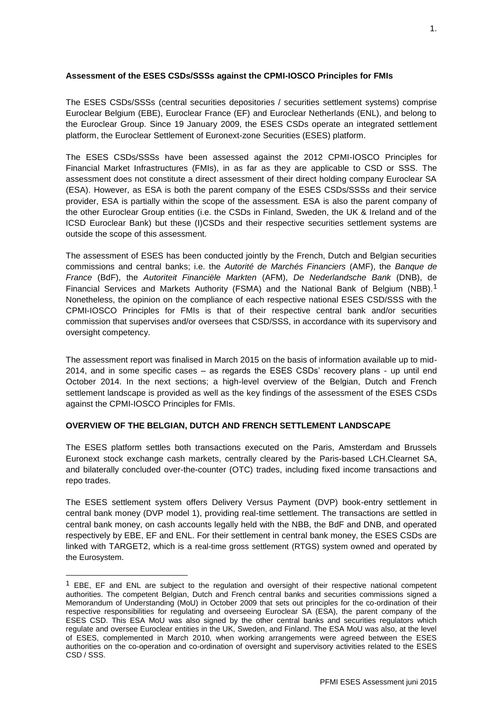# **Assessment of the ESES CSDs/SSSs against the CPMI-IOSCO Principles for FMIs**

The ESES CSDs/SSSs (central securities depositories / securities settlement systems) comprise Euroclear Belgium (EBE), Euroclear France (EF) and Euroclear Netherlands (ENL), and belong to the Euroclear Group. Since 19 January 2009, the ESES CSDs operate an integrated settlement platform, the Euroclear Settlement of Euronext-zone Securities (ESES) platform.

The ESES CSDs/SSSs have been assessed against the 2012 CPMI-IOSCO Principles for Financial Market Infrastructures (FMIs), in as far as they are applicable to CSD or SSS. The assessment does not constitute a direct assessment of their direct holding company Euroclear SA (ESA). However, as ESA is both the parent company of the ESES CSDs/SSSs and their service provider, ESA is partially within the scope of the assessment. ESA is also the parent company of the other Euroclear Group entities (i.e. the CSDs in Finland, Sweden, the UK & Ireland and of the ICSD Euroclear Bank) but these (I)CSDs and their respective securities settlement systems are outside the scope of this assessment.

The assessment of ESES has been conducted jointly by the French, Dutch and Belgian securities commissions and central banks; i.e. the *Autorité de Marchés Financiers* (AMF), the *Banque de France* (BdF), the *Autoriteit Financiële Markten* (AFM), *De Nederlandsche Bank* (DNB), de Financial Services and Markets Authority (FSMA) and the National Bank of Belgium (NBB).<sup>1</sup> Nonetheless, the opinion on the compliance of each respective national ESES CSD/SSS with the CPMI-IOSCO Principles for FMIs is that of their respective central bank and/or securities commission that supervises and/or oversees that CSD/SSS, in accordance with its supervisory and oversight competency.

The assessment report was finalised in March 2015 on the basis of information available up to mid-2014, and in some specific cases – as regards the ESES CSDs' recovery plans - up until end October 2014. In the next sections; a high-level overview of the Belgian, Dutch and French settlement landscape is provided as well as the key findings of the assessment of the ESES CSDs against the CPMI-IOSCO Principles for FMIs.

# **OVERVIEW OF THE BELGIAN, DUTCH AND FRENCH SETTLEMENT LANDSCAPE**

1

The ESES platform settles both transactions executed on the Paris, Amsterdam and Brussels Euronext stock exchange cash markets, centrally cleared by the Paris-based LCH.Clearnet SA, and bilaterally concluded over-the-counter (OTC) trades, including fixed income transactions and repo trades.

The ESES settlement system offers Delivery Versus Payment (DVP) book-entry settlement in central bank money (DVP model 1), providing real-time settlement. The transactions are settled in central bank money, on cash accounts legally held with the NBB, the BdF and DNB, and operated respectively by EBE, EF and ENL. For their settlement in central bank money, the ESES CSDs are linked with TARGET2, which is a real-time gross settlement (RTGS) system owned and operated by the Eurosystem.

 $1$  EBE, EF and ENL are subject to the regulation and oversight of their respective national competent authorities. The competent Belgian, Dutch and French central banks and securities commissions signed a Memorandum of Understanding (MoU) in October 2009 that sets out principles for the co-ordination of their respective responsibilities for regulating and overseeing Euroclear SA (ESA), the parent company of the ESES CSD. This ESA MoU was also signed by the other central banks and securities regulators which regulate and oversee Euroclear entities in the UK, Sweden, and Finland. The ESA MoU was also, at the level of ESES, complemented in March 2010, when working arrangements were agreed between the ESES authorities on the co-operation and co-ordination of oversight and supervisory activities related to the ESES CSD / SSS.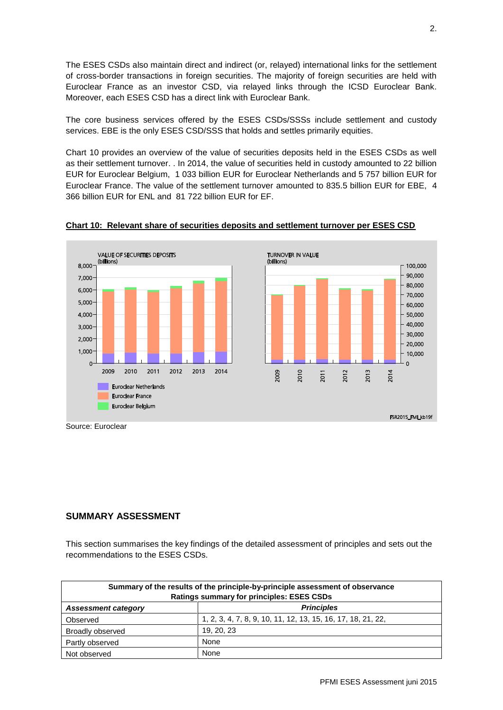The ESES CSDs also maintain direct and indirect (or, relayed) international links for the settlement of cross-border transactions in foreign securities. The majority of foreign securities are held with Euroclear France as an investor CSD, via relayed links through the ICSD Euroclear Bank. Moreover, each ESES CSD has a direct link with Euroclear Bank.

The core business services offered by the ESES CSDs/SSSs include settlement and custody services. EBE is the only ESES CSD/SSS that holds and settles primarily equities.

Chart 10 provides an overview of the value of securities deposits held in the ESES CSDs as well as their settlement turnover. . In 2014, the value of securities held in custody amounted to 22 billion EUR for Euroclear Belgium, 1 033 billion EUR for Euroclear Netherlands and 5 757 billion EUR for Euroclear France. The value of the settlement turnover amounted to 835.5 billion EUR for EBE, 4 366 billion EUR for ENL and 81 722 billion EUR for EF.





Source: Euroclear

# **SUMMARY ASSESSMENT**

This section summarises the key findings of the detailed assessment of principles and sets out the recommendations to the ESES CSDs.

| Summary of the results of the principle-by-principle assessment of observance<br><b>Ratings summary for principles: ESES CSDs</b> |                                                              |  |  |  |
|-----------------------------------------------------------------------------------------------------------------------------------|--------------------------------------------------------------|--|--|--|
| <b>Assessment category</b>                                                                                                        | <b>Principles</b>                                            |  |  |  |
| Observed                                                                                                                          | 1, 2, 3, 4, 7, 8, 9, 10, 11, 12, 13, 15, 16, 17, 18, 21, 22, |  |  |  |
| Broadly observed                                                                                                                  | 19.20.23                                                     |  |  |  |
| Partly observed                                                                                                                   | None                                                         |  |  |  |
| Not observed                                                                                                                      | None                                                         |  |  |  |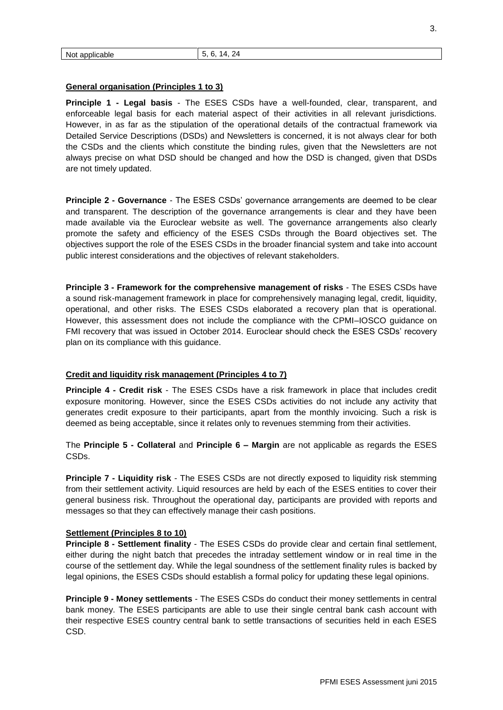#### **General organisation (Principles 1 to 3)**

**Principle 1 - Legal basis** - The ESES CSDs have a well-founded, clear, transparent, and enforceable legal basis for each material aspect of their activities in all relevant jurisdictions. However, in as far as the stipulation of the operational details of the contractual framework via Detailed Service Descriptions (DSDs) and Newsletters is concerned, it is not always clear for both the CSDs and the clients which constitute the binding rules, given that the Newsletters are not always precise on what DSD should be changed and how the DSD is changed, given that DSDs are not timely updated.

**Principle 2 - Governance** - The ESES CSDs' governance arrangements are deemed to be clear and transparent. The description of the governance arrangements is clear and they have been made available via the Euroclear website as well. The governance arrangements also clearly promote the safety and efficiency of the ESES CSDs through the Board objectives set. The objectives support the role of the ESES CSDs in the broader financial system and take into account public interest considerations and the objectives of relevant stakeholders.

**Principle 3 - Framework for the comprehensive management of risks** - The ESES CSDs have a sound risk-management framework in place for comprehensively managing legal, credit, liquidity, operational, and other risks. The ESES CSDs elaborated a recovery plan that is operational. However, this assessment does not include the compliance with the CPMI–IOSCO guidance on FMI recovery that was issued in October 2014. Euroclear should check the ESES CSDs' recovery plan on its compliance with this guidance.

#### **Credit and liquidity risk management (Principles 4 to 7)**

**Principle 4 - Credit risk** - The ESES CSDs have a risk framework in place that includes credit exposure monitoring. However, since the ESES CSDs activities do not include any activity that generates credit exposure to their participants, apart from the monthly invoicing. Such a risk is deemed as being acceptable, since it relates only to revenues stemming from their activities.

The **Principle 5 - Collateral** and **Principle 6 – Margin** are not applicable as regards the ESES CSDs.

**Principle 7 - Liquidity risk** - The ESES CSDs are not directly exposed to liquidity risk stemming from their settlement activity. Liquid resources are held by each of the ESES entities to cover their general business risk. Throughout the operational day, participants are provided with reports and messages so that they can effectively manage their cash positions.

# **Settlement (Principles 8 to 10)**

**Principle 8 - Settlement finality** - The ESES CSDs do provide clear and certain final settlement, either during the night batch that precedes the intraday settlement window or in real time in the course of the settlement day. While the legal soundness of the settlement finality rules is backed by legal opinions, the ESES CSDs should establish a formal policy for updating these legal opinions.

**Principle 9 - Money settlements** - The ESES CSDs do conduct their money settlements in central bank money. The ESES participants are able to use their single central bank cash account with their respective ESES country central bank to settle transactions of securities held in each ESES CSD.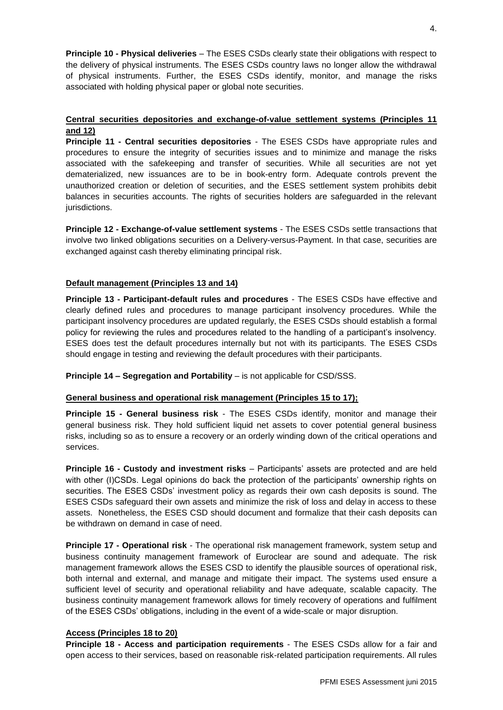**Principle 10 - Physical deliveries** – The ESES CSDs clearly state their obligations with respect to the delivery of physical instruments. The ESES CSDs country laws no longer allow the withdrawal of physical instruments. Further, the ESES CSDs identify, monitor, and manage the risks associated with holding physical paper or global note securities.

# **Central securities depositories and exchange-of-value settlement systems (Principles 11 and 12)**

**Principle 11 - Central securities depositories** - The ESES CSDs have appropriate rules and procedures to ensure the integrity of securities issues and to minimize and manage the risks associated with the safekeeping and transfer of securities. While all securities are not yet dematerialized, new issuances are to be in book-entry form. Adequate controls prevent the unauthorized creation or deletion of securities, and the ESES settlement system prohibits debit balances in securities accounts. The rights of securities holders are safeguarded in the relevant jurisdictions.

**Principle 12 - Exchange-of-value settlement systems** - The ESES CSDs settle transactions that involve two linked obligations securities on a Delivery-versus-Payment. In that case, securities are exchanged against cash thereby eliminating principal risk.

# **Default management (Principles 13 and 14)**

**Principle 13 - Participant-default rules and procedures** - The ESES CSDs have effective and clearly defined rules and procedures to manage participant insolvency procedures. While the participant insolvency procedures are updated regularly, the ESES CSDs should establish a formal policy for reviewing the rules and procedures related to the handling of a participant's insolvency. ESES does test the default procedures internally but not with its participants. The ESES CSDs should engage in testing and reviewing the default procedures with their participants.

**Principle 14 – Segregation and Portability** – is not applicable for CSD/SSS.

# **General business and operational risk management (Principles 15 to 17);**

**Principle 15 - General business risk** - The ESES CSDs identify, monitor and manage their general business risk. They hold sufficient liquid net assets to cover potential general business risks, including so as to ensure a recovery or an orderly winding down of the critical operations and services.

**Principle 16 - Custody and investment risks** – Participants' assets are protected and are held with other (I)CSDs. Legal opinions do back the protection of the participants' ownership rights on securities. The ESES CSDs' investment policy as regards their own cash deposits is sound. The ESES CSDs safeguard their own assets and minimize the risk of loss and delay in access to these assets. Nonetheless, the ESES CSD should document and formalize that their cash deposits can be withdrawn on demand in case of need.

**Principle 17 - Operational risk** - The operational risk management framework, system setup and business continuity management framework of Euroclear are sound and adequate. The risk management framework allows the ESES CSD to identify the plausible sources of operational risk, both internal and external, and manage and mitigate their impact. The systems used ensure a sufficient level of security and operational reliability and have adequate, scalable capacity. The business continuity management framework allows for timely recovery of operations and fulfilment of the ESES CSDs' obligations, including in the event of a wide-scale or major disruption.

# **Access (Principles 18 to 20)**

**Principle 18 - Access and participation requirements** - The ESES CSDs allow for a fair and open access to their services, based on reasonable risk-related participation requirements. All rules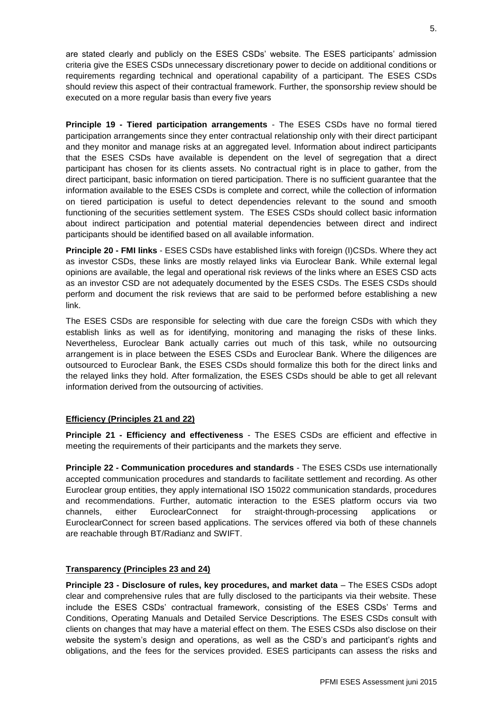are stated clearly and publicly on the ESES CSDs' website. The ESES participants' admission criteria give the ESES CSDs unnecessary discretionary power to decide on additional conditions or requirements regarding technical and operational capability of a participant. The ESES CSDs should review this aspect of their contractual framework. Further, the sponsorship review should be executed on a more regular basis than every five years

**Principle 19 - Tiered participation arrangements** - The ESES CSDs have no formal tiered participation arrangements since they enter contractual relationship only with their direct participant and they monitor and manage risks at an aggregated level. Information about indirect participants that the ESES CSDs have available is dependent on the level of segregation that a direct participant has chosen for its clients assets. No contractual right is in place to gather, from the direct participant, basic information on tiered participation. There is no sufficient guarantee that the information available to the ESES CSDs is complete and correct, while the collection of information on tiered participation is useful to detect dependencies relevant to the sound and smooth functioning of the securities settlement system. The ESES CSDs should collect basic information about indirect participation and potential material dependencies between direct and indirect participants should be identified based on all available information.

**Principle 20 - FMI links** - ESES CSDs have established links with foreign (I)CSDs. Where they act as investor CSDs, these links are mostly relayed links via Euroclear Bank. While external legal opinions are available, the legal and operational risk reviews of the links where an ESES CSD acts as an investor CSD are not adequately documented by the ESES CSDs. The ESES CSDs should perform and document the risk reviews that are said to be performed before establishing a new link.

The ESES CSDs are responsible for selecting with due care the foreign CSDs with which they establish links as well as for identifying, monitoring and managing the risks of these links. Nevertheless, Euroclear Bank actually carries out much of this task, while no outsourcing arrangement is in place between the ESES CSDs and Euroclear Bank. Where the diligences are outsourced to Euroclear Bank, the ESES CSDs should formalize this both for the direct links and the relayed links they hold. After formalization, the ESES CSDs should be able to get all relevant information derived from the outsourcing of activities.

# **Efficiency (Principles 21 and 22)**

**Principle 21 - Efficiency and effectiveness** - The ESES CSDs are efficient and effective in meeting the requirements of their participants and the markets they serve.

**Principle 22 - Communication procedures and standards** - The ESES CSDs use internationally accepted communication procedures and standards to facilitate settlement and recording. As other Euroclear group entities, they apply international ISO 15022 communication standards, procedures and recommendations. Further, automatic interaction to the ESES platform occurs via two channels, either EuroclearConnect for straight-through-processing applications or EuroclearConnect for screen based applications. The services offered via both of these channels are reachable through BT/Radianz and SWIFT.

# **Transparency (Principles 23 and 24)**

**Principle 23 - Disclosure of rules, key procedures, and market data** – The ESES CSDs adopt clear and comprehensive rules that are fully disclosed to the participants via their website. These include the ESES CSDs' contractual framework, consisting of the ESES CSDs' Terms and Conditions, Operating Manuals and Detailed Service Descriptions. The ESES CSDs consult with clients on changes that may have a material effect on them. The ESES CSDs also disclose on their website the system's design and operations, as well as the CSD's and participant's rights and obligations, and the fees for the services provided. ESES participants can assess the risks and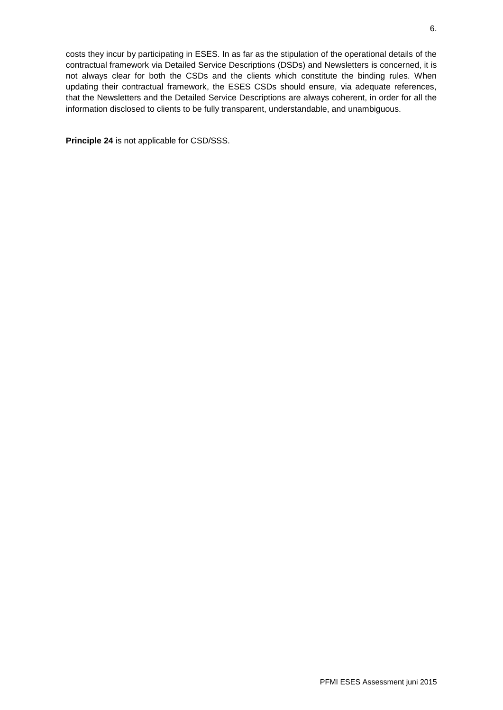costs they incur by participating in ESES. In as far as the stipulation of the operational details of the contractual framework via Detailed Service Descriptions (DSDs) and Newsletters is concerned, it is not always clear for both the CSDs and the clients which constitute the binding rules. When updating their contractual framework, the ESES CSDs should ensure, via adequate references, that the Newsletters and the Detailed Service Descriptions are always coherent, in order for all the information disclosed to clients to be fully transparent, understandable, and unambiguous.

**Principle 24** is not applicable for CSD/SSS.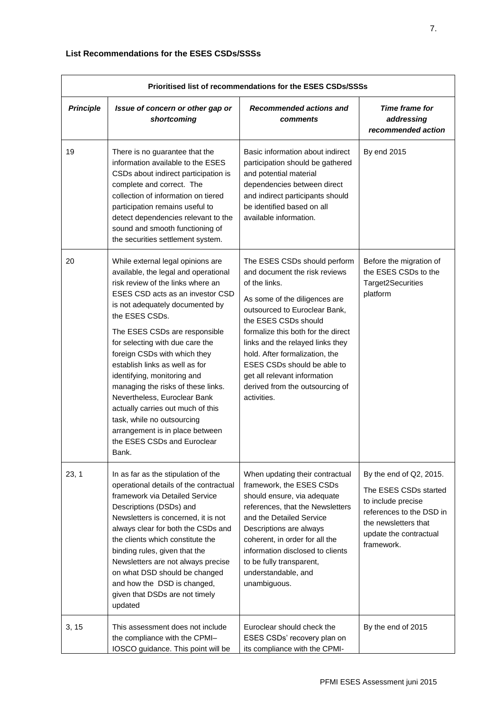| Prioritised list of recommendations for the ESES CSDs/SSSs |                                                                                                                                                                                                                                                                                                                                                                                                                                                                                                                                                                                                  |                                                                                                                                                                                                                                                                                                                                                                                                       |                                                                                                                                                                    |  |  |
|------------------------------------------------------------|--------------------------------------------------------------------------------------------------------------------------------------------------------------------------------------------------------------------------------------------------------------------------------------------------------------------------------------------------------------------------------------------------------------------------------------------------------------------------------------------------------------------------------------------------------------------------------------------------|-------------------------------------------------------------------------------------------------------------------------------------------------------------------------------------------------------------------------------------------------------------------------------------------------------------------------------------------------------------------------------------------------------|--------------------------------------------------------------------------------------------------------------------------------------------------------------------|--|--|
| <b>Principle</b>                                           | Issue of concern or other gap or<br>shortcoming                                                                                                                                                                                                                                                                                                                                                                                                                                                                                                                                                  | Recommended actions and<br>comments                                                                                                                                                                                                                                                                                                                                                                   | Time frame for<br>addressing<br>recommended action                                                                                                                 |  |  |
| 19                                                         | There is no guarantee that the<br>information available to the ESES<br>CSDs about indirect participation is<br>complete and correct. The<br>collection of information on tiered<br>participation remains useful to<br>detect dependencies relevant to the<br>sound and smooth functioning of<br>the securities settlement system.                                                                                                                                                                                                                                                                | Basic information about indirect<br>participation should be gathered<br>and potential material<br>dependencies between direct<br>and indirect participants should<br>be identified based on all<br>available information.                                                                                                                                                                             | By end 2015                                                                                                                                                        |  |  |
| 20                                                         | While external legal opinions are<br>available, the legal and operational<br>risk review of the links where an<br>ESES CSD acts as an investor CSD<br>is not adequately documented by<br>the ESES CSDs.<br>The ESES CSDs are responsible<br>for selecting with due care the<br>foreign CSDs with which they<br>establish links as well as for<br>identifying, monitoring and<br>managing the risks of these links.<br>Nevertheless, Euroclear Bank<br>actually carries out much of this<br>task, while no outsourcing<br>arrangement is in place between<br>the ESES CSDs and Euroclear<br>Bank. | The ESES CSDs should perform<br>and document the risk reviews<br>of the links.<br>As some of the diligences are<br>outsourced to Euroclear Bank,<br>the ESES CSDs should<br>formalize this both for the direct<br>links and the relayed links they<br>hold. After formalization, the<br>ESES CSDs should be able to<br>get all relevant information<br>derived from the outsourcing of<br>activities. | Before the migration of<br>the ESES CSDs to the<br>Target2Securities<br>platform                                                                                   |  |  |
| 23, 1                                                      | In as far as the stipulation of the<br>operational details of the contractual<br>framework via Detailed Service<br>Descriptions (DSDs) and<br>Newsletters is concerned, it is not<br>always clear for both the CSDs and<br>the clients which constitute the<br>binding rules, given that the<br>Newsletters are not always precise<br>on what DSD should be changed<br>and how the DSD is changed,<br>given that DSDs are not timely<br>updated                                                                                                                                                  | When updating their contractual<br>framework, the ESES CSDs<br>should ensure, via adequate<br>references, that the Newsletters<br>and the Detailed Service<br>Descriptions are always<br>coherent, in order for all the<br>information disclosed to clients<br>to be fully transparent,<br>understandable, and<br>unambiguous.                                                                        | By the end of Q2, 2015.<br>The ESES CSDs started<br>to include precise<br>references to the DSD in<br>the newsletters that<br>update the contractual<br>framework. |  |  |
| 3, 15                                                      | This assessment does not include<br>the compliance with the CPMI-<br>IOSCO guidance. This point will be                                                                                                                                                                                                                                                                                                                                                                                                                                                                                          | Euroclear should check the<br>ESES CSDs' recovery plan on<br>its compliance with the CPMI-                                                                                                                                                                                                                                                                                                            | By the end of 2015                                                                                                                                                 |  |  |